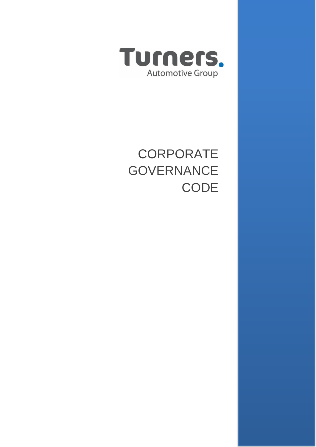

# **CORPORATE GOVERNANCE CODE**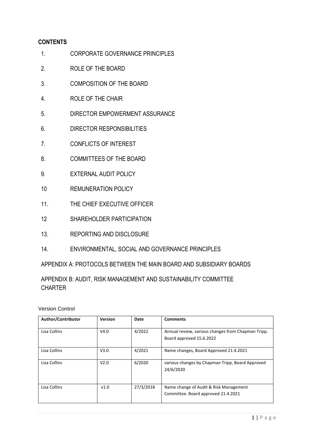# **CONTENTS**

- 1. CORPORATE GOVERNANCE PRINCIPLES
- 2. ROLE OF THE BOARD
- 3. COMPOSITION OF THE BOARD
- 4. ROLE OF THE CHAIR
- 5. DIRECTOR EMPOWERMENT ASSURANCE
- 6. DIRECTOR RESPONSIBILITIES
- 7. CONFLICTS OF INTEREST
- 8. COMMITTEES OF THE BOARD
- 9. EXTERNAL AUDIT POLICY
- 10 REMUNERATION POLICY
- 11. THE CHIEF EXECUTIVE OFFICER
- 12 SHAREHOLDER PARTICIPATION
- 13. REPORTING AND DISCLOSURE
- 14. ENVIRONMENTAL, SOCIAL AND GOVERNANCE PRINCIPLES

APPENDIX A: PROTOCOLS BETWEEN THE MAIN BOARD AND SUBSIDIARY BOARDS

# APPENDIX B: AUDIT, RISK MANAGEMENT AND SUSTAINABILITY COMMITTEE **CHARTER**

Version Control

| Author/Contributor | <b>Version</b>   | Date      | <b>Comments</b>                                                                |
|--------------------|------------------|-----------|--------------------------------------------------------------------------------|
| Lisa Collins       | V4.0             | 4/2022    | Annual review, various changes from Chapman Tripp.<br>Board approved 15.6.2022 |
| Lisa Collins       | V3.0             | 4/2021    | Name changes, Board Approved 21.4.2021                                         |
| Lisa Collins       | V <sub>2.0</sub> | 6/2020    | various changes by Chapman Tripp, Board Approved<br>24/6/2020                  |
| Lisa Collins       | v1.0             | 27/3/2018 | Name change of Audit & Risk Management<br>Committee. Board approved 21.4.2021  |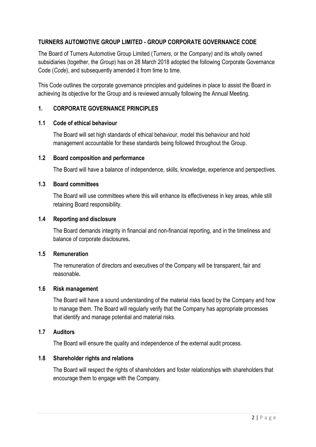# **TURNERS AUTOMOTIVE GROUP LIMITED - GROUP CORPORATE GOVERNANCE CODE**

The Board of Turners Automotive Group Limited (*Turners*, or the *Company)* and its wholly owned subsidiaries (together, the *Group*) has on 28 March 2018 adopted the following Corporate Governance Code (*Code*), and subsequently amended it from time to time.

This Code outlines the corporate governance principles and guidelines in place to assist the Board in achieving its objective for the Group and is reviewed annually following the Annual Meeting.

#### **1. CORPORATE GOVERNANCE PRINCIPLES**

#### **1.1 Code of ethical behaviour**

The Board will set high standards of ethical behaviour, model this behaviour and hold management accountable for these standards being followed throughout the Group.

#### **1.2 Board composition and performance**

The Board will have a balance of independence, skills, knowledge, experience and perspectives.

### **1.3 Board committees**

The Board will use committees where this will enhance its effectiveness in key areas, while still retaining Board responsibility.

#### **1.4 Reporting and disclosure**

The Board demands integrity in financial and non-financial reporting, and in the timeliness and balance of corporate disclosures**.**

#### **1.5 Remuneration**

The remuneration of directors and executives of the Company will be transparent, fair and reasonable**.**

#### **1.6 Risk management**

The Board will have a sound understanding of the material risks faced by the Company and how to manage them. The Board will regularly verify that the Company has appropriate processes that identify and manage potential and material risks.

#### **1.7 Auditors**

The Board will ensure the quality and independence of the external audit process.

#### **1.8 Shareholder rights and relations**

The Board will respect the rights of shareholders and foster relationships with shareholders that encourage them to engage with the Company.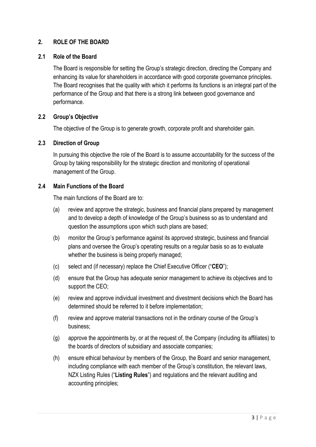# **2. ROLE OF THE BOARD**

# **2.1 Role of the Board**

The Board is responsible for setting the Group's strategic direction, directing the Company and enhancing its value for shareholders in accordance with good corporate governance principles. The Board recognises that the quality with which it performs its functions is an integral part of the performance of the Group and that there is a strong link between good governance and performance.

# **2.2 Group's Objective**

The objective of the Group is to generate growth, corporate profit and shareholder gain.

# **2.3 Direction of Group**

In pursuing this objective the role of the Board is to assume accountability for the success of the Group by taking responsibility for the strategic direction and monitoring of operational management of the Group.

# **2.4 Main Functions of the Board**

The main functions of the Board are to:

- (a) review and approve the strategic, business and financial plans prepared by management and to develop a depth of knowledge of the Group's business so as to understand and question the assumptions upon which such plans are based;
- (b) monitor the Group's performance against its approved strategic, business and financial plans and oversee the Group's operating results on a regular basis so as to evaluate whether the business is being properly managed;
- (c) select and (if necessary) replace the Chief Executive Officer ("**CEO**");
- (d) ensure that the Group has adequate senior management to achieve its objectives and to support the CEO;
- (e) review and approve individual investment and divestment decisions which the Board has determined should be referred to it before implementation;
- (f) review and approve material transactions not in the ordinary course of the Group's business;
- (g) approve the appointments by, or at the request of, the Company (including its affiliates) to the boards of directors of subsidiary and associate companies;
- (h) ensure ethical behaviour by members of the Group, the Board and senior management, including compliance with each member of the Group's constitution, the relevant laws, NZX Listing Rules ("**Listing Rules**") and regulations and the relevant auditing and accounting principles;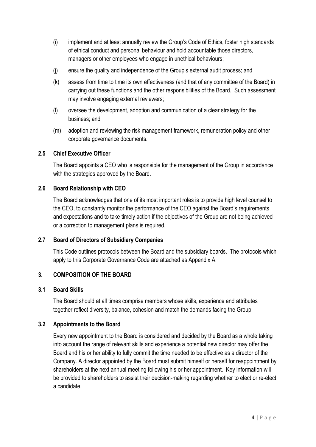- (i) implement and at least annually review the Group's Code of Ethics, foster high standards of ethical conduct and personal behaviour and hold accountable those directors, managers or other employees who engage in unethical behaviours;
- (j) ensure the quality and independence of the Group's external audit process; and
- (k) assess from time to time its own effectiveness (and that of any committee of the Board) in carrying out these functions and the other responsibilities of the Board. Such assessment may involve engaging external reviewers;
- (l) oversee the development, adoption and communication of a clear strategy for the business; and
- (m) adoption and reviewing the risk management framework, remuneration policy and other corporate governance documents.

# **2.5 Chief Executive Officer**

The Board appoints a CEO who is responsible for the management of the Group in accordance with the strategies approved by the Board.

# **2.6 Board Relationship with CEO**

The Board acknowledges that one of its most important roles is to provide high level counsel to the CEO, to constantly monitor the performance of the CEO against the Board's requirements and expectations and to take timely action if the objectives of the Group are not being achieved or a correction to management plans is required.

#### **2.7 Board of Directors of Subsidiary Companies**

This Code outlines protocols between the Board and the subsidiary boards. The protocols which apply to this Corporate Governance Code are attached as Appendix A.

# **3. COMPOSITION OF THE BOARD**

#### **3.1 Board Skills**

The Board should at all times comprise members whose skills, experience and attributes together reflect diversity, balance, cohesion and match the demands facing the Group.

#### **3.2 Appointments to the Board**

Every new appointment to the Board is considered and decided by the Board as a whole taking into account the range of relevant skills and experience a potential new director may offer the Board and his or her ability to fully commit the time needed to be effective as a director of the Company. A director appointed by the Board must submit himself or herself for reappointment by shareholders at the next annual meeting following his or her appointment. Key information will be provided to shareholders to assist their decision-making regarding whether to elect or re-elect a candidate.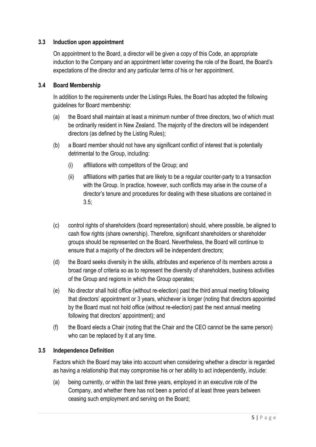# **3.3 Induction upon appointment**

On appointment to the Board, a director will be given a copy of this Code, an appropriate induction to the Company and an appointment letter covering the role of the Board, the Board's expectations of the director and any particular terms of his or her appointment.

#### **3.4 Board Membership**

In addition to the requirements under the Listings Rules, the Board has adopted the following guidelines for Board membership:

- (a) the Board shall maintain at least a minimum number of three directors, two of which must be ordinarily resident in New Zealand. The majority of the directors will be independent directors (as defined by the Listing Rules);
- (b) a Board member should not have any significant conflict of interest that is potentially detrimental to the Group, including:
	- (i) affiliations with competitors of the Group; and
	- (ii) affiliations with parties that are likely to be a regular counter-party to a transaction with the Group. In practice, however, such conflicts may arise in the course of a director's tenure and procedures for dealing with these situations are contained in 3.5;
- (c) control rights of shareholders (board representation) should, where possible, be aligned to cash flow rights (share ownership). Therefore, significant shareholders or shareholder groups should be represented on the Board. Nevertheless, the Board will continue to ensure that a majority of the directors will be independent directors;
- (d) the Board seeks diversity in the skills, attributes and experience of its members across a broad range of criteria so as to represent the diversity of shareholders, business activities of the Group and regions in which the Group operates;
- (e) No director shall hold office (without re-election) past the third annual meeting following that directors' appointment or 3 years, whichever is longer (noting that directors appointed by the Board must not hold office (without re-election) past the next annual meeting following that directors' appointment); and
- (f) the Board elects a Chair (noting that the Chair and the CEO cannot be the same person) who can be replaced by it at any time.

#### **3.5 Independence Definition**

Factors which the Board may take into account when considering whether a director is regarded as having a relationship that may compromise his or her ability to act independently, include:

(a) being currently, or within the last three years, employed in an executive role of the Company, and whether there has not been a period of at least three years between ceasing such employment and serving on the Board;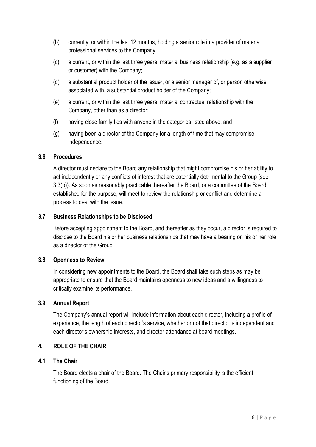- (b) currently, or within the last 12 months, holding a senior role in a provider of material professional services to the Company;
- (c) a current, or within the last three years, material business relationship (e.g. as a supplier or customer) with the Company;
- (d) a substantial product holder of the issuer, or a senior manager of, or person otherwise associated with, a substantial product holder of the Company;
- (e) a current, or within the last three years, material contractual relationship with the Company, other than as a director;
- (f) having close family ties with anyone in the categories listed above; and
- (g) having been a director of the Company for a length of time that may compromise independence.

# **3.6 Procedures**

A director must declare to the Board any relationship that might compromise his or her ability to act independently or any conflicts of interest that are potentially detrimental to the Group (see 3.3(b)). As soon as reasonably practicable thereafter the Board, or a committee of the Board established for the purpose, will meet to review the relationship or conflict and determine a process to deal with the issue.

# **3.7 Business Relationships to be Disclosed**

Before accepting appointment to the Board, and thereafter as they occur, a director is required to disclose to the Board his or her business relationships that may have a bearing on his or her role as a director of the Group.

#### **3.8 Openness to Review**

In considering new appointments to the Board, the Board shall take such steps as may be appropriate to ensure that the Board maintains openness to new ideas and a willingness to critically examine its performance.

#### **3.9 Annual Report**

The Company's annual report will include information about each director, including a profile of experience, the length of each director's service, whether or not that director is independent and each director's ownership interests, and director attendance at board meetings.

## **4. ROLE OF THE CHAIR**

# **4.1 The Chair**

The Board elects a chair of the Board. The Chair's primary responsibility is the efficient functioning of the Board.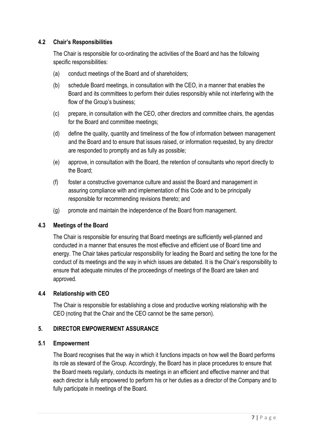# **4.2 Chair's Responsibilities**

The Chair is responsible for co-ordinating the activities of the Board and has the following specific responsibilities:

- (a) conduct meetings of the Board and of shareholders;
- (b) schedule Board meetings, in consultation with the CEO, in a manner that enables the Board and its committees to perform their duties responsibly while not interfering with the flow of the Group's business;
- (c) prepare, in consultation with the CEO, other directors and committee chairs, the agendas for the Board and committee meetings;
- (d) define the quality, quantity and timeliness of the flow of information between management and the Board and to ensure that issues raised, or information requested, by any director are responded to promptly and as fully as possible;
- (e) approve, in consultation with the Board, the retention of consultants who report directly to the Board;
- (f) foster a constructive governance culture and assist the Board and management in assuring compliance with and implementation of this Code and to be principally responsible for recommending revisions thereto; and
- (g) promote and maintain the independence of the Board from management.

# **4.3 Meetings of the Board**

The Chair is responsible for ensuring that Board meetings are sufficiently well-planned and conducted in a manner that ensures the most effective and efficient use of Board time and energy. The Chair takes particular responsibility for leading the Board and setting the tone for the conduct of its meetings and the way in which issues are debated. It is the Chair's responsibility to ensure that adequate minutes of the proceedings of meetings of the Board are taken and approved.

#### **4.4 Relationship with CEO**

The Chair is responsible for establishing a close and productive working relationship with the CEO (noting that the Chair and the CEO cannot be the same person).

#### **5. DIRECTOR EMPOWERMENT ASSURANCE**

#### **5.1 Empowerment**

The Board recognises that the way in which it functions impacts on how well the Board performs its role as steward of the Group. Accordingly, the Board has in place procedures to ensure that the Board meets regularly, conducts its meetings in an efficient and effective manner and that each director is fully empowered to perform his or her duties as a director of the Company and to fully participate in meetings of the Board.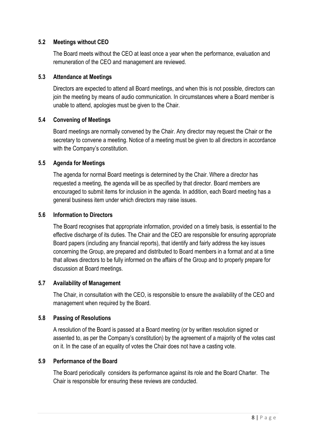## **5.2 Meetings without CEO**

The Board meets without the CEO at least once a year when the performance, evaluation and remuneration of the CEO and management are reviewed.

#### **5.3 Attendance at Meetings**

Directors are expected to attend all Board meetings, and when this is not possible, directors can join the meeting by means of audio communication. In circumstances where a Board member is unable to attend, apologies must be given to the Chair.

# **5.4 Convening of Meetings**

Board meetings are normally convened by the Chair. Any director may request the Chair or the secretary to convene a meeting. Notice of a meeting must be given to all directors in accordance with the Company's constitution.

# **5.5 Agenda for Meetings**

The agenda for normal Board meetings is determined by the Chair. Where a director has requested a meeting, the agenda will be as specified by that director. Board members are encouraged to submit items for inclusion in the agenda. In addition, each Board meeting has a general business item under which directors may raise issues.

#### **5.6 Information to Directors**

The Board recognises that appropriate information, provided on a timely basis, is essential to the effective discharge of its duties. The Chair and the CEO are responsible for ensuring appropriate Board papers (including any financial reports), that identify and fairly address the key issues concerning the Group, are prepared and distributed to Board members in a format and at a time that allows directors to be fully informed on the affairs of the Group and to properly prepare for discussion at Board meetings.

#### **5.7 Availability of Management**

The Chair, in consultation with the CEO, is responsible to ensure the availability of the CEO and management when required by the Board.

#### **5.8 Passing of Resolutions**

A resolution of the Board is passed at a Board meeting (or by written resolution signed or assented to, as per the Company's constitution) by the agreement of a majority of the votes cast on it. In the case of an equality of votes the Chair does not have a casting vote.

#### **5.9 Performance of the Board**

The Board periodically considers its performance against its role and the Board Charter. The Chair is responsible for ensuring these reviews are conducted.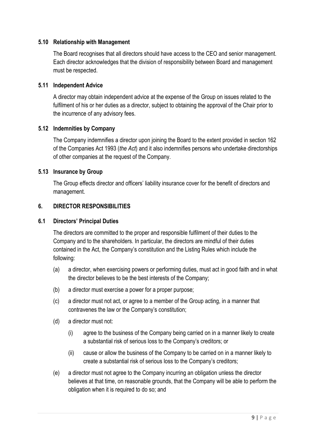#### **5.10 Relationship with Management**

The Board recognises that all directors should have access to the CEO and senior management. Each director acknowledges that the division of responsibility between Board and management must be respected.

#### **5.11 Independent Advice**

A director may obtain independent advice at the expense of the Group on issues related to the fulfilment of his or her duties as a director, subject to obtaining the approval of the Chair prior to the incurrence of any advisory fees.

# **5.12 Indemnities by Company**

The Company indemnifies a director upon joining the Board to the extent provided in section 162 of the Companies Act 1993 (*the Act*) and it also indemnifies persons who undertake directorships of other companies at the request of the Company.

# **5.13 Insurance by Group**

The Group effects director and officers' liability insurance cover for the benefit of directors and management.

# **6. DIRECTOR RESPONSIBILITIES**

# **6.1 Directors' Principal Duties**

The directors are committed to the proper and responsible fulfilment of their duties to the Company and to the shareholders. In particular, the directors are mindful of their duties contained in the Act, the Company's constitution and the Listing Rules which include the following:

- (a) a director, when exercising powers or performing duties, must act in good faith and in what the director believes to be the best interests of the Company;
- (b) a director must exercise a power for a proper purpose;
- (c) a director must not act, or agree to a member of the Group acting, in a manner that contravenes the law or the Company's constitution;
- (d) a director must not:
	- (i) agree to the business of the Company being carried on in a manner likely to create a substantial risk of serious loss to the Company's creditors; or
	- (ii) cause or allow the business of the Company to be carried on in a manner likely to create a substantial risk of serious loss to the Company's creditors;
- (e) a director must not agree to the Company incurring an obligation unless the director believes at that time, on reasonable grounds, that the Company will be able to perform the obligation when it is required to do so; and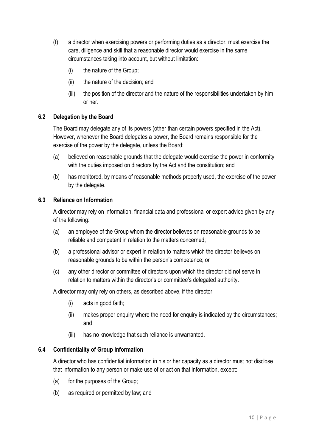- (f) a director when exercising powers or performing duties as a director, must exercise the care, diligence and skill that a reasonable director would exercise in the same circumstances taking into account, but without limitation:
	- (i) the nature of the Group;
	- (ii) the nature of the decision; and
	- (iii) the position of the director and the nature of the responsibilities undertaken by him or her.

#### **6.2 Delegation by the Board**

The Board may delegate any of its powers (other than certain powers specified in the Act). However, whenever the Board delegates a power, the Board remains responsible for the exercise of the power by the delegate, unless the Board:

- (a) believed on reasonable grounds that the delegate would exercise the power in conformity with the duties imposed on directors by the Act and the constitution; and
- (b) has monitored, by means of reasonable methods properly used, the exercise of the power by the delegate.

#### **6.3 Reliance on Information**

A director may rely on information, financial data and professional or expert advice given by any of the following:

- (a) an employee of the Group whom the director believes on reasonable grounds to be reliable and competent in relation to the matters concerned;
- (b) a professional advisor or expert in relation to matters which the director believes on reasonable grounds to be within the person's competence; or
- (c) any other director or committee of directors upon which the director did not serve in relation to matters within the director's or committee's delegated authority.

A director may only rely on others, as described above, if the director:

- (i) acts in good faith;
- (ii) makes proper enquiry where the need for enquiry is indicated by the circumstances; and
- (iii) has no knowledge that such reliance is unwarranted.

#### **6.4 Confidentiality of Group Information**

A director who has confidential information in his or her capacity as a director must not disclose that information to any person or make use of or act on that information, except:

- (a) for the purposes of the Group;
- (b) as required or permitted by law; and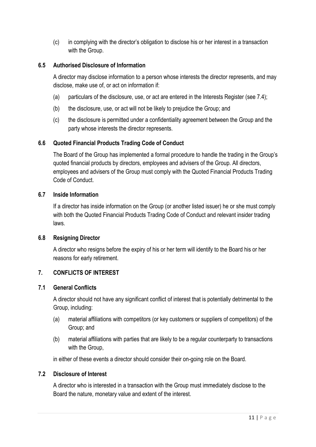(c) in complying with the director's obligation to disclose his or her interest in a transaction with the Group.

# **6.5 Authorised Disclosure of Information**

A director may disclose information to a person whose interests the director represents, and may disclose, make use of, or act on information if:

- (a) particulars of the disclosure, use, or act are entered in the Interests Register (see 7.4);
- (b) the disclosure, use, or act will not be likely to prejudice the Group; and
- (c) the disclosure is permitted under a confidentiality agreement between the Group and the party whose interests the director represents.

# **6.6 Quoted Financial Products Trading Code of Conduct**

The Board of the Group has implemented a formal procedure to handle the trading in the Group's quoted financial products by directors, employees and advisers of the Group. All directors, employees and advisers of the Group must comply with the Quoted Financial Products Trading Code of Conduct.

### **6.7 Inside Information**

If a director has inside information on the Group (or another listed issuer) he or she must comply with both the Quoted Financial Products Trading Code of Conduct and relevant insider trading laws.

#### **6.8 Resigning Director**

A director who resigns before the expiry of his or her term will identify to the Board his or her reasons for early retirement.

# **7. CONFLICTS OF INTEREST**

## **7.1 General Conflicts**

A director should not have any significant conflict of interest that is potentially detrimental to the Group, including:

- (a) material affiliations with competitors (or key customers or suppliers of competitors) of the Group; and
- (b) material affiliations with parties that are likely to be a regular counterparty to transactions with the Group,

in either of these events a director should consider their on-going role on the Board.

#### **7.2 Disclosure of Interest**

A director who is interested in a transaction with the Group must immediately disclose to the Board the nature, monetary value and extent of the interest.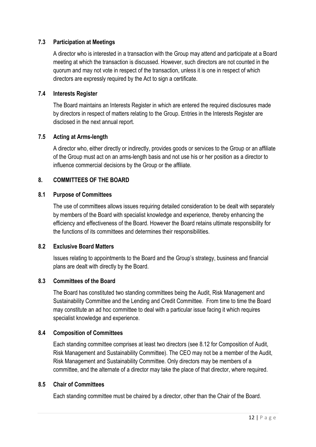# **7.3 Participation at Meetings**

A director who is interested in a transaction with the Group may attend and participate at a Board meeting at which the transaction is discussed. However, such directors are not counted in the quorum and may not vote in respect of the transaction, unless it is one in respect of which directors are expressly required by the Act to sign a certificate.

#### **7.4 Interests Register**

The Board maintains an Interests Register in which are entered the required disclosures made by directors in respect of matters relating to the Group. Entries in the Interests Register are disclosed in the next annual report.

#### **7.5 Acting at Arms-length**

A director who, either directly or indirectly, provides goods or services to the Group or an affiliate of the Group must act on an arms-length basis and not use his or her position as a director to influence commercial decisions by the Group or the affiliate.

# **8. COMMITTEES OF THE BOARD**

#### **8.1 Purpose of Committees**

The use of committees allows issues requiring detailed consideration to be dealt with separately by members of the Board with specialist knowledge and experience, thereby enhancing the efficiency and effectiveness of the Board. However the Board retains ultimate responsibility for the functions of its committees and determines their responsibilities.

#### **8.2 Exclusive Board Matters**

Issues relating to appointments to the Board and the Group's strategy, business and financial plans are dealt with directly by the Board.

#### **8.3 Committees of the Board**

The Board has constituted two standing committees being the Audit, Risk Management and Sustainability Committee and the Lending and Credit Committee. From time to time the Board may constitute an ad hoc committee to deal with a particular issue facing it which requires specialist knowledge and experience.

#### **8.4 Composition of Committees**

Each standing committee comprises at least two directors (see 8.12 for Composition of Audit, Risk Management and Sustainability Committee). The CEO may not be a member of the Audit, Risk Management and Sustainability Committee. Only directors may be members of a committee, and the alternate of a director may take the place of that director, where required.

### **8.5 Chair of Committees**

Each standing committee must be chaired by a director, other than the Chair of the Board.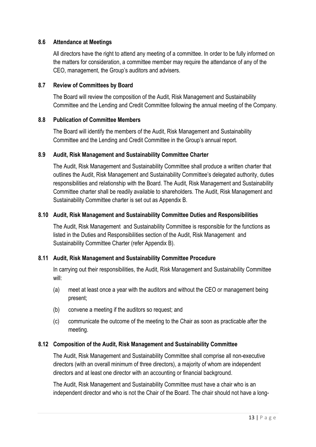#### **8.6 Attendance at Meetings**

All directors have the right to attend any meeting of a committee. In order to be fully informed on the matters for consideration, a committee member may require the attendance of any of the CEO, management, the Group's auditors and advisers.

#### **8.7 Review of Committees by Board**

The Board will review the composition of the Audit, Risk Management and Sustainability Committee and the Lending and Credit Committee following the annual meeting of the Company.

#### **8.8 Publication of Committee Members**

The Board will identify the members of the Audit, Risk Management and Sustainability Committee and the Lending and Credit Committee in the Group's annual report.

# **8.9 Audit, Risk Management and Sustainability Committee Charter**

The Audit, Risk Management and Sustainability Committee shall produce a written charter that outlines the Audit, Risk Management and Sustainability Committee's delegated authority, duties responsibilities and relationship with the Board. The Audit, Risk Management and Sustainability Committee charter shall be readily available to shareholders. The Audit, Risk Management and Sustainability Committee charter is set out as Appendix B.

# **8.10 Audit, Risk Management and Sustainability Committee Duties and Responsibilities**

The Audit, Risk Management and Sustainability Committee is responsible for the functions as listed in the Duties and Responsibilities section of the Audit, Risk Management and Sustainability Committee Charter (refer Appendix B).

# **8.11 Audit, Risk Management and Sustainability Committee Procedure**

In carrying out their responsibilities, the Audit, Risk Management and Sustainability Committee will:

- (a) meet at least once a year with the auditors and without the CEO or management being present;
- (b) convene a meeting if the auditors so request; and
- (c) communicate the outcome of the meeting to the Chair as soon as practicable after the meeting.

#### **8.12 Composition of the Audit, Risk Management and Sustainability Committee**

The Audit, Risk Management and Sustainability Committee shall comprise all non-executive directors (with an overall minimum of three directors), a majority of whom are independent directors and at least one director with an accounting or financial background.

The Audit, Risk Management and Sustainability Committee must have a chair who is an independent director and who is not the Chair of the Board. The chair should not have a long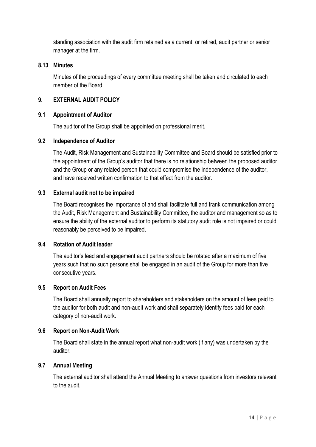standing association with the audit firm retained as a current, or retired, audit partner or senior manager at the firm.

#### **8.13 Minutes**

Minutes of the proceedings of every committee meeting shall be taken and circulated to each member of the Board.

#### **9. EXTERNAL AUDIT POLICY**

#### **9.1 Appointment of Auditor**

The auditor of the Group shall be appointed on professional merit.

#### **9.2 Independence of Auditor**

The Audit, Risk Management and Sustainability Committee and Board should be satisfied prior to the appointment of the Group's auditor that there is no relationship between the proposed auditor and the Group or any related person that could compromise the independence of the auditor, and have received written confirmation to that effect from the auditor.

#### **9.3 External audit not to be impaired**

The Board recognises the importance of and shall facilitate full and frank communication among the Audit, Risk Management and Sustainability Committee, the auditor and management so as to ensure the ability of the external auditor to perform its statutory audit role is not impaired or could reasonably be perceived to be impaired.

#### **9.4 Rotation of Audit leader**

The auditor's lead and engagement audit partners should be rotated after a maximum of five years such that no such persons shall be engaged in an audit of the Group for more than five consecutive years.

#### **9.5 Report on Audit Fees**

The Board shall annually report to shareholders and stakeholders on the amount of fees paid to the auditor for both audit and non-audit work and shall separately identify fees paid for each category of non-audit work.

#### **9.6 Report on Non-Audit Work**

The Board shall state in the annual report what non-audit work (if any) was undertaken by the auditor.

#### **9.7 Annual Meeting**

The external auditor shall attend the Annual Meeting to answer questions from investors relevant to the audit.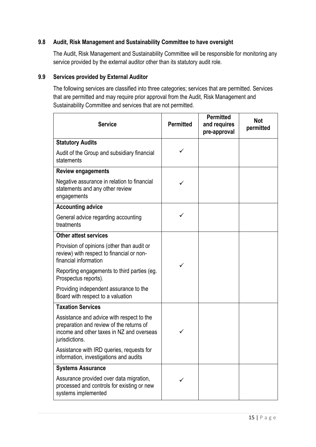# **9.8 Audit, Risk Management and Sustainability Committee to have oversight**

The Audit, Risk Management and Sustainability Committee will be responsible for monitoring any service provided by the external auditor other than its statutory audit role.

#### **9.9 Services provided by External Auditor**

The following services are classified into three categories; services that are permitted. Services that are permitted and may require prior approval from the Audit, Risk Management and Sustainability Committee and services that are not permitted.

| <b>Service</b>                                                                                                                                       | <b>Permitted</b> | <b>Permitted</b><br>and requires<br>pre-approval | <b>Not</b><br>permitted |
|------------------------------------------------------------------------------------------------------------------------------------------------------|------------------|--------------------------------------------------|-------------------------|
| <b>Statutory Audits</b>                                                                                                                              |                  |                                                  |                         |
| Audit of the Group and subsidiary financial<br>statements                                                                                            | ✓                |                                                  |                         |
| <b>Review engagements</b>                                                                                                                            |                  |                                                  |                         |
| Negative assurance in relation to financial<br>statements and any other review<br>engagements                                                        |                  |                                                  |                         |
| <b>Accounting advice</b>                                                                                                                             |                  |                                                  |                         |
| General advice regarding accounting<br>treatments                                                                                                    |                  |                                                  |                         |
| <b>Other attest services</b>                                                                                                                         |                  |                                                  |                         |
| Provision of opinions (other than audit or<br>review) with respect to financial or non-<br>financial information                                     | ✓                |                                                  |                         |
| Reporting engagements to third parties (eg.<br>Prospectus reports).                                                                                  |                  |                                                  |                         |
| Providing independent assurance to the<br>Board with respect to a valuation                                                                          |                  |                                                  |                         |
| <b>Taxation Services</b>                                                                                                                             |                  |                                                  |                         |
| Assistance and advice with respect to the<br>preparation and review of the returns of<br>income and other taxes in NZ and overseas<br>jurisdictions. |                  |                                                  |                         |
| Assistance with IRD queries, requests for<br>information, investigations and audits                                                                  |                  |                                                  |                         |
| <b>Systems Assurance</b>                                                                                                                             |                  |                                                  |                         |
| Assurance provided over data migration,<br>processed and controls for existing or new<br>systems implemented                                         |                  |                                                  |                         |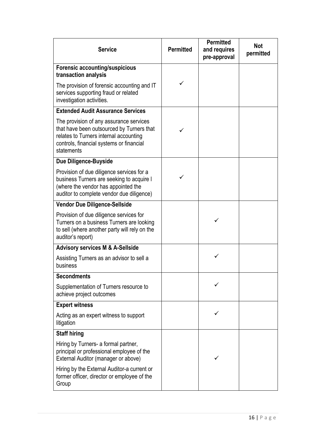| <b>Service</b>                                                                                                                                                                           | <b>Permitted</b> | <b>Permitted</b><br>and requires<br>pre-approval | <b>Not</b><br>permitted |
|------------------------------------------------------------------------------------------------------------------------------------------------------------------------------------------|------------------|--------------------------------------------------|-------------------------|
| <b>Forensic accounting/suspicious</b><br>transaction analysis                                                                                                                            |                  |                                                  |                         |
| The provision of forensic accounting and IT<br>services supporting fraud or related<br>investigation activities.                                                                         |                  |                                                  |                         |
| <b>Extended Audit Assurance Services</b>                                                                                                                                                 |                  |                                                  |                         |
| The provision of any assurance services<br>that have been outsourced by Turners that<br>relates to Turners internal accounting<br>controls, financial systems or financial<br>statements |                  |                                                  |                         |
| Due Diligence-Buyside                                                                                                                                                                    |                  |                                                  |                         |
| Provision of due diligence services for a<br>business Turners are seeking to acquire I<br>(where the vendor has appointed the<br>auditor to complete vendor due diligence)               |                  |                                                  |                         |
| <b>Vendor Due Diligence-Sellside</b>                                                                                                                                                     |                  |                                                  |                         |
| Provision of due diligence services for<br>Turners on a business Turners are looking<br>to sell (where another party will rely on the<br>auditor's report)                               |                  | ✓                                                |                         |
| <b>Advisory services M &amp; A-Sellside</b>                                                                                                                                              |                  |                                                  |                         |
| Assisting Turners as an advisor to sell a<br>business                                                                                                                                    |                  | ✓                                                |                         |
| <b>Secondments</b>                                                                                                                                                                       |                  |                                                  |                         |
| Supplementation of Turners resource to<br>achieve project outcomes                                                                                                                       |                  |                                                  |                         |
| <b>Expert witness</b>                                                                                                                                                                    |                  |                                                  |                         |
| Acting as an expert witness to support<br>litigation                                                                                                                                     |                  | ✓                                                |                         |
| <b>Staff hiring</b>                                                                                                                                                                      |                  |                                                  |                         |
| Hiring by Turners- a formal partner,<br>principal or professional employee of the<br>External Auditor (manager or above)                                                                 |                  |                                                  |                         |
| Hiring by the External Auditor-a current or<br>former officer, director or employee of the<br>Group                                                                                      |                  |                                                  |                         |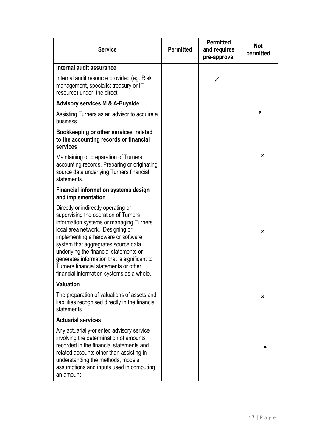| <b>Service</b>                                                                                                                                                                                                                                                                                                                                                                                                           | <b>Permitted</b> | <b>Permitted</b><br>and requires<br>pre-approval | <b>Not</b><br>permitted |
|--------------------------------------------------------------------------------------------------------------------------------------------------------------------------------------------------------------------------------------------------------------------------------------------------------------------------------------------------------------------------------------------------------------------------|------------------|--------------------------------------------------|-------------------------|
| Internal audit assurance                                                                                                                                                                                                                                                                                                                                                                                                 |                  |                                                  |                         |
| Internal audit resource provided (eg. Risk)<br>management, specialist treasury or IT<br>resource) under the direct                                                                                                                                                                                                                                                                                                       |                  | ✓                                                |                         |
| <b>Advisory services M &amp; A-Buyside</b>                                                                                                                                                                                                                                                                                                                                                                               |                  |                                                  |                         |
| Assisting Turners as an advisor to acquire a<br>business                                                                                                                                                                                                                                                                                                                                                                 |                  |                                                  | ×                       |
| Bookkeeping or other services related<br>to the accounting records or financial<br>services                                                                                                                                                                                                                                                                                                                              |                  |                                                  |                         |
| Maintaining or preparation of Turners<br>accounting records. Preparing or originating<br>source data underlying Turners financial<br>statements.                                                                                                                                                                                                                                                                         |                  |                                                  | ×                       |
| <b>Financial information systems design</b><br>and implementation                                                                                                                                                                                                                                                                                                                                                        |                  |                                                  |                         |
| Directly or indirectly operating or<br>supervising the operation of Turners<br>information systems or managing Turners<br>local area network. Designing or<br>implementing a hardware or software<br>system that aggregrates source data<br>underlying the financial statements or<br>generates information that is significant to<br>Turners financial statements or other<br>financial information systems as a whole. |                  |                                                  | ×                       |
| <b>Valuation</b>                                                                                                                                                                                                                                                                                                                                                                                                         |                  |                                                  |                         |
| The preparation of valuations of assets and<br>liabilities recognised directly in the financial<br>statements                                                                                                                                                                                                                                                                                                            |                  |                                                  | ×                       |
| <b>Actuarial services</b>                                                                                                                                                                                                                                                                                                                                                                                                |                  |                                                  |                         |
| Any actuarially-oriented advisory service<br>involving the determination of amounts<br>recorded in the financial statements and<br>related accounts other than assisting in<br>understanding the methods, models,<br>assumptions and inputs used in computing<br>an amount                                                                                                                                               |                  |                                                  | ×                       |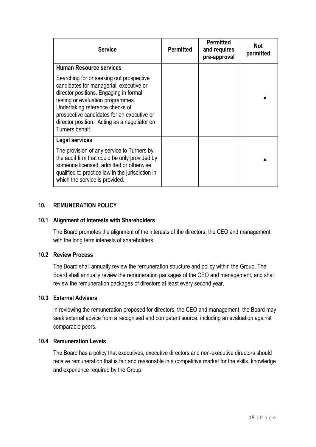| <b>Service</b>                                                                                                                                                                                                                                                                                                         | <b>Permitted</b> | <b>Permitted</b><br>and requires<br>pre-approval | Not<br>permitted |
|------------------------------------------------------------------------------------------------------------------------------------------------------------------------------------------------------------------------------------------------------------------------------------------------------------------------|------------------|--------------------------------------------------|------------------|
| <b>Human Resource services</b>                                                                                                                                                                                                                                                                                         |                  |                                                  |                  |
| Searching for or seeking out prospective<br>candidates for managerial, executive or<br>director positions. Engaging in formal<br>testing or evaluation programmes.<br>Undertaking reference checks of<br>prospective candidates for an executive or<br>director position. Acting as a negotiator on<br>Turners behalf. |                  |                                                  | $\mathbf x$      |
| Legal services                                                                                                                                                                                                                                                                                                         |                  |                                                  |                  |
| The provision of any service to Turners by<br>the audit firm that could be only provided by<br>someone licensed, admitted or otherwise<br>qualified to practice law in the jurisdiction in<br>which the service is provided.                                                                                           |                  |                                                  | $\mathbf x$      |

#### **10. REMUNERATION POLICY**

#### **10.1 Alignment of Interests with Shareholders**

The Board promotes the alignment of the interests of the directors, the CEO and management with the long term interests of shareholders.

#### **10.2 Review Process**

The Board shall annually review the remuneration structure and policy within the Group. The Board shall annually review the remuneration packages of the CEO and management, and shall review the remuneration packages of directors at least every second year.

#### **10.3 External Advisers**

In reviewing the remuneration proposed for directors, the CEO and management, the Board may seek external advice from a recognised and competent source, including an evaluation against comparable peers.

#### **10.4 Remuneration Levels**

The Board has a policy that executives, executive directors and non-executive directors should receive remuneration that is fair and reasonable in a competitive market for the skills, knowledge and experience required by the Group.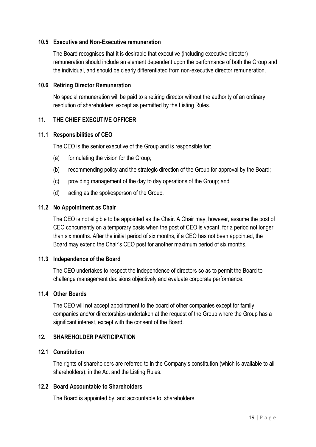#### **10.5 Executive and Non-Executive remuneration**

The Board recognises that it is desirable that executive (including executive director) remuneration should include an element dependent upon the performance of both the Group and the individual, and should be clearly differentiated from non-executive director remuneration.

#### **10.6 Retiring Director Remuneration**

No special remuneration will be paid to a retiring director without the authority of an ordinary resolution of shareholders, except as permitted by the Listing Rules.

#### **11. THE CHIEF EXECUTIVE OFFICER**

#### **11.1 Responsibilities of CEO**

The CEO is the senior executive of the Group and is responsible for:

- (a) formulating the vision for the Group;
- (b) recommending policy and the strategic direction of the Group for approval by the Board;
- (c) providing management of the day to day operations of the Group; and
- (d) acting as the spokesperson of the Group.

#### **11.2 No Appointment as Chair**

The CEO is not eligible to be appointed as the Chair. A Chair may, however, assume the post of CEO concurrently on a temporary basis when the post of CEO is vacant, for a period not longer than six months. After the initial period of six months, if a CEO has not been appointed, the Board may extend the Chair's CEO post for another maximum period of six months.

#### **11.3 Independence of the Board**

The CEO undertakes to respect the independence of directors so as to permit the Board to challenge management decisions objectively and evaluate corporate performance.

#### **11.4 Other Boards**

The CEO will not accept appointment to the board of other companies except for family companies and/or directorships undertaken at the request of the Group where the Group has a significant interest, except with the consent of the Board.

# **12. SHAREHOLDER PARTICIPATION**

#### **12.1 Constitution**

The rights of shareholders are referred to in the Company's constitution (which is available to all shareholders), in the Act and the Listing Rules.

#### **12.2 Board Accountable to Shareholders**

The Board is appointed by, and accountable to, shareholders.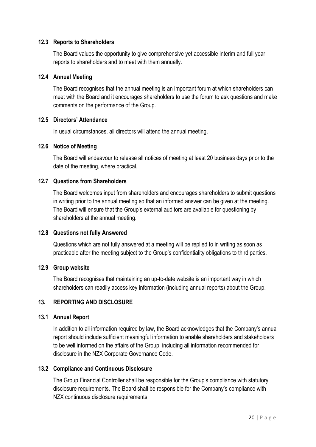#### **12.3 Reports to Shareholders**

The Board values the opportunity to give comprehensive yet accessible interim and full year reports to shareholders and to meet with them annually.

#### **12.4 Annual Meeting**

The Board recognises that the annual meeting is an important forum at which shareholders can meet with the Board and it encourages shareholders to use the forum to ask questions and make comments on the performance of the Group.

#### **12.5 Directors' Attendance**

In usual circumstances, all directors will attend the annual meeting.

#### **12.6 Notice of Meeting**

The Board will endeavour to release all notices of meeting at least 20 business days prior to the date of the meeting, where practical.

#### **12.7 Questions from Shareholders**

The Board welcomes input from shareholders and encourages shareholders to submit questions in writing prior to the annual meeting so that an informed answer can be given at the meeting. The Board will ensure that the Group's external auditors are available for questioning by shareholders at the annual meeting.

#### **12.8 Questions not fully Answered**

Questions which are not fully answered at a meeting will be replied to in writing as soon as practicable after the meeting subject to the Group's confidentiality obligations to third parties.

#### **12.9 Group website**

The Board recognises that maintaining an up-to-date website is an important way in which shareholders can readily access key information (including annual reports) about the Group.

#### **13. REPORTING AND DISCLOSURE**

#### **13.1 Annual Report**

In addition to all information required by law, the Board acknowledges that the Company's annual report should include sufficient meaningful information to enable shareholders and stakeholders to be well informed on the affairs of the Group, including all information recommended for disclosure in the NZX Corporate Governance Code.

#### **13.2 Compliance and Continuous Disclosure**

The Group Financial Controller shall be responsible for the Group's compliance with statutory disclosure requirements. The Board shall be responsible for the Company's compliance with NZX continuous disclosure requirements.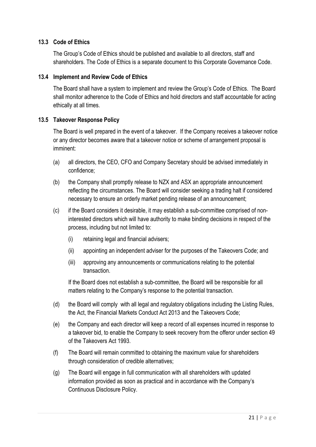# **13.3 Code of Ethics**

The Group's Code of Ethics should be published and available to all directors, staff and shareholders. The Code of Ethics is a separate document to this Corporate Governance Code.

#### **13.4 Implement and Review Code of Ethics**

The Board shall have a system to implement and review the Group's Code of Ethics. The Board shall monitor adherence to the Code of Ethics and hold directors and staff accountable for acting ethically at all times.

# **13.5 Takeover Response Policy**

The Board is well prepared in the event of a takeover. If the Company receives a takeover notice or any director becomes aware that a takeover notice or scheme of arrangement proposal is imminent:

- (a) all directors, the CEO, CFO and Company Secretary should be advised immediately in confidence;
- (b) the Company shall promptly release to NZX and ASX an appropriate announcement reflecting the circumstances. The Board will consider seeking a trading halt if considered necessary to ensure an orderly market pending release of an announcement;
- (c) if the Board considers it desirable, it may establish a sub-committee comprised of noninterested directors which will have authority to make binding decisions in respect of the process, including but not limited to:
	- (i) retaining legal and financial advisers;
	- (ii) appointing an independent adviser for the purposes of the Takeovers Code; and
	- (iii) approving any announcements or communications relating to the potential transaction.

If the Board does not establish a sub-committee, the Board will be responsible for all matters relating to the Company's response to the potential transaction.

- (d) the Board will comply with all legal and regulatory obligations including the Listing Rules, the Act, the Financial Markets Conduct Act 2013 and the Takeovers Code;
- (e) the Company and each director will keep a record of all expenses incurred in response to a takeover bid, to enable the Company to seek recovery from the offeror under section 49 of the Takeovers Act 1993.
- (f) The Board will remain committed to obtaining the maximum value for shareholders through consideration of credible alternatives;
- (g) The Board will engage in full communication with all shareholders with updated information provided as soon as practical and in accordance with the Company's Continuous Disclosure Policy.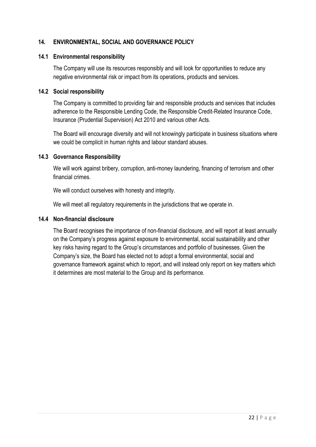# **14. ENVIRONMENTAL, SOCIAL AND GOVERNANCE POLICY**

#### **14.1 Environmental responsibility**

The Company will use its resources responsibly and will look for opportunities to reduce any negative environmental risk or impact from its operations, products and services.

#### **14.2 Social responsibility**

The Company is committed to providing fair and responsible products and services that includes adherence to the Responsible Lending Code, the Responsible Credit-Related Insurance Code, Insurance (Prudential Supervision) Act 2010 and various other Acts.

The Board will encourage diversity and will not knowingly participate in business situations where we could be complicit in human rights and labour standard abuses.

#### **14.3 Governance Responsibility**

We will work against bribery, corruption, anti-money laundering, financing of terrorism and other financial crimes.

We will conduct ourselves with honesty and integrity.

We will meet all regulatory requirements in the jurisdictions that we operate in.

#### **14.4 Non-financial disclosure**

The Board recognises the importance of non-financial disclosure, and will report at least annually on the Company's progress against exposure to environmental, social sustainability and other key risks having regard to the Group's circumstances and portfolio of businesses. Given the Company's size, the Board has elected not to adopt a formal environmental, social and governance framework against which to report, and will instead only report on key matters which it determines are most material to the Group and its performance.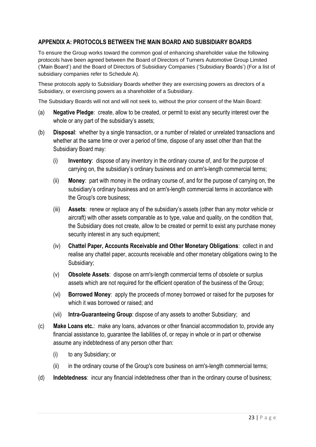# **APPENDIX A: PROTOCOLS BETWEEN THE MAIN BOARD AND SUBSIDIARY BOARDS**

To ensure the Group works toward the common goal of enhancing shareholder value the following protocols have been agreed between the Board of Directors of Turners Automotive Group Limited ('Main Board') and the Board of Directors of Subsidiary Companies ('Subsidiary Boards') (For a list of subsidiary companies refer to Schedule A).

These protocols apply to Subsidiary Boards whether they are exercising powers as directors of a Subsidiary, or exercising powers as a shareholder of a Subsidiary.

The Subsidiary Boards will not and will not seek to, without the prior consent of the Main Board:

- (a) **Negative Pledge**: create, allow to be created, or permit to exist any security interest over the whole or any part of the subsidiary's assets;
- (b) **Disposal**: whether by a single transaction, or a number of related or unrelated transactions and whether at the same time or over a period of time, dispose of any asset other than that the Subsidiary Board may:
	- (i) **Inventory**: dispose of any inventory in the ordinary course of, and for the purpose of carrying on, the subsidiary's ordinary business and on arm's-length commercial terms;
	- (ii) **Money**: part with money in the ordinary course of, and for the purpose of carrying on, the subsidiary's ordinary business and on arm's-length commercial terms in accordance with the Group's core business;
	- (iii) **Assets**: renew or replace any of the subsidiary's assets (other than any motor vehicle or aircraft) with other assets comparable as to type, value and quality, on the condition that, the Subsidiary does not create, allow to be created or permit to exist any purchase money security interest in any such equipment;
	- (iv) **Chattel Paper, Accounts Receivable and Other Monetary Obligations**: collect in and realise any chattel paper, accounts receivable and other monetary obligations owing to the Subsidiary;
	- (v) **Obsolete Assets**: dispose on arm's-length commercial terms of obsolete or surplus assets which are not required for the efficient operation of the business of the Group;
	- (vi) **Borrowed Money**: apply the proceeds of money borrowed or raised for the purposes for which it was borrowed or raised; and
	- (vii) **Intra-Guaranteeing Group**: dispose of any assets to another Subsidiary; and
- (c) **Make Loans etc.**: make any loans, advances or other financial accommodation to, provide any financial assistance to, guarantee the liabilities of, or repay in whole or in part or otherwise assume any indebtedness of any person other than:
	- (i) to any Subsidiary; or
	- (ii) in the ordinary course of the Group's core business on arm's-length commercial terms;
- (d) **Indebtedness**: incur any financial indebtedness other than in the ordinary course of business;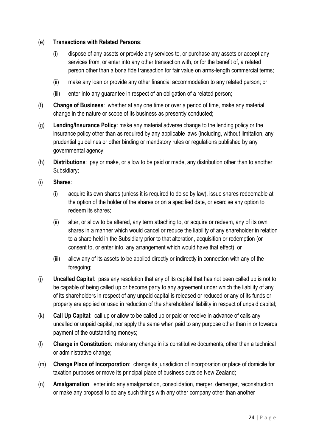#### (e) **Transactions with Related Persons**:

- (i) dispose of any assets or provide any services to, or purchase any assets or accept any services from, or enter into any other transaction with, or for the benefit of, a related person other than a bona fide transaction for fair value on arms-length commercial terms;
- (ii) make any loan or provide any other financial accommodation to any related person; or
- (iii) enter into any guarantee in respect of an obligation of a related person;
- (f) **Change of Business**: whether at any one time or over a period of time, make any material change in the nature or scope of its business as presently conducted;
- (g) **Lending/Insurance Policy**: make any material adverse change to the lending policy or the insurance policy other than as required by any applicable laws (including, without limitation, any prudential guidelines or other binding or mandatory rules or regulations published by any governmental agency;
- (h) **Distributions**: pay or make, or allow to be paid or made, any distribution other than to another Subsidiary;
- (i) **Shares**:
	- (i) acquire its own shares (unless it is required to do so by law), issue shares redeemable at the option of the holder of the shares or on a specified date, or exercise any option to redeem its shares;
	- (ii) alter, or allow to be altered, any term attaching to, or acquire or redeem, any of its own shares in a manner which would cancel or reduce the liability of any shareholder in relation to a share held in the Subsidiary prior to that alteration, acquisition or redemption (or consent to, or enter into, any arrangement which would have that effect); or
	- (iii) allow any of its assets to be applied directly or indirectly in connection with any of the foregoing;
- (j) **Uncalled Capital**: pass any resolution that any of its capital that has not been called up is not to be capable of being called up or become party to any agreement under which the liability of any of its shareholders in respect of any unpaid capital is released or reduced or any of its funds or property are applied or used in reduction of the shareholders' liability in respect of unpaid capital;
- (k) **Call Up Capital**: call up or allow to be called up or paid or receive in advance of calls any uncalled or unpaid capital, nor apply the same when paid to any purpose other than in or towards payment of the outstanding moneys;
- (l) **Change in Constitution**: make any change in its constitutive documents, other than a technical or administrative change;
- (m) **Change Place of Incorporation**: change its jurisdiction of incorporation or place of domicile for taxation purposes or move its principal place of business outside New Zealand;
- (n) **Amalgamation**: enter into any amalgamation, consolidation, merger, demerger, reconstruction or make any proposal to do any such things with any other company other than another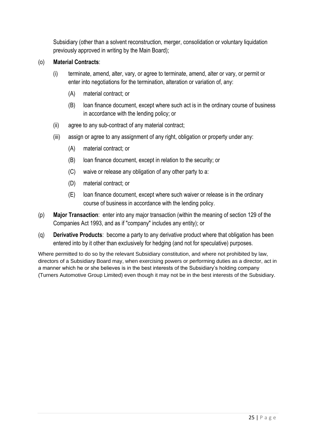Subsidiary (other than a solvent reconstruction, merger, consolidation or voluntary liquidation previously approved in writing by the Main Board);

# (o) **Material Contracts**:

- (i) terminate, amend, alter, vary, or agree to terminate, amend, alter or vary, or permit or enter into negotiations for the termination, alteration or variation of, any:
	- (A) material contract; or
	- (B) loan finance document, except where such act is in the ordinary course of business in accordance with the lending policy; or
- (ii) agree to any sub-contract of any material contract;
- (iii) assign or agree to any assignment of any right, obligation or property under any:
	- (A) material contract; or
	- (B) loan finance document, except in relation to the security; or
	- (C) waive or release any obligation of any other party to a:
	- (D) material contract; or
	- (E) loan finance document, except where such waiver or release is in the ordinary course of business in accordance with the lending policy.
- (p) **Major Transaction**: enter into any major transaction (within the meaning of section 129 of the Companies Act 1993, and as if "company" includes any entity); or
- (q) **Derivative Products**: become a party to any derivative product where that obligation has been entered into by it other than exclusively for hedging (and not for speculative) purposes.

Where permitted to do so by the relevant Subsidiary constitution, and where not prohibited by law, directors of a Subsidiary Board may, when exercising powers or performing duties as a director, act in a manner which he or she believes is in the best interests of the Subsidiary's holding company (Turners Automotive Group Limited) even though it may not be in the best interests of the Subsidiary.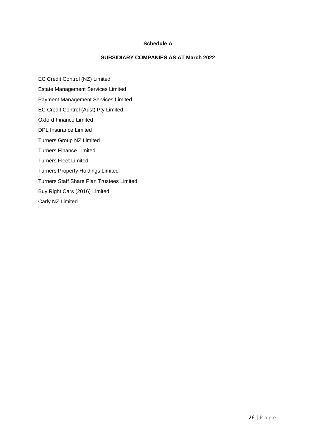#### **Schedule A**

#### **SUBSIDIARY COMPANIES AS AT March 2022**

EC Credit Control (NZ) Limited Estate Management Services Limited Payment Management Services Limited EC Credit Control (Aust) Pty Limited Oxford Finance Limited DPL Insurance Limited Turners Group NZ Limited Turners Finance Limited Turners Fleet Limited Turners Property Holdings Limited Turners Staff Share Plan Trustees Limited Buy Right Cars (2016) Limited Carly NZ Limited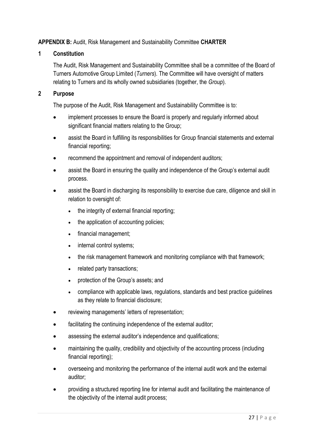# **APPENDIX B:** Audit, Risk Management and Sustainability Committee **CHARTER**

## **1 Constitution**

The Audit, Risk Management and Sustainability Committee shall be a committee of the Board of Turners Automotive Group Limited (*Turners*). The Committee will have oversight of matters relating to Turners and its wholly owned subsidiaries (together, the *Group*).

# **2 Purpose**

The purpose of the Audit, Risk Management and Sustainability Committee is to:

- implement processes to ensure the Board is properly and regularly informed about significant financial matters relating to the Group;
- assist the Board in fulfilling its responsibilities for Group financial statements and external financial reporting;
- recommend the appointment and removal of independent auditors;
- assist the Board in ensuring the quality and independence of the Group's external audit process.
- assist the Board in discharging its responsibility to exercise due care, diligence and skill in relation to oversight of:
	- the integrity of external financial reporting;
	- the application of accounting policies;
	- financial management;
	- internal control systems;
	- the risk management framework and monitoring compliance with that framework;
	- related party transactions;
	- protection of the Group's assets; and
	- compliance with applicable laws, regulations, standards and best practice guidelines as they relate to financial disclosure;
- reviewing managements' letters of representation;
- facilitating the continuing independence of the external auditor;
- assessing the external auditor's independence and qualifications;
- maintaining the quality, credibility and objectivity of the accounting process (including financial reporting);
- overseeing and monitoring the performance of the internal audit work and the external auditor;
- providing a structured reporting line for internal audit and facilitating the maintenance of the objectivity of the internal audit process;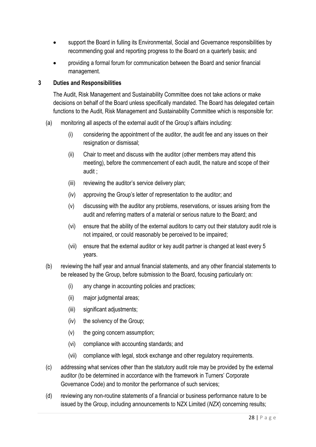- support the Board in fulling its Environmental, Social and Governance responsibilities by recommending goal and reporting progress to the Board on a quarterly basis; and
- providing a formal forum for communication between the Board and senior financial management.

# **3 Duties and Responsibilities**

The Audit, Risk Management and Sustainability Committee does not take actions or make decisions on behalf of the Board unless specifically mandated. The Board has delegated certain functions to the Audit, Risk Management and Sustainability Committee which is responsible for:

- (a) monitoring all aspects of the external audit of the Group's affairs including:
	- (i) considering the appointment of the auditor, the audit fee and any issues on their resignation or dismissal;
	- (ii) Chair to meet and discuss with the auditor (other members may attend this meeting), before the commencement of each audit, the nature and scope of their audit ;
	- (iii) reviewing the auditor's service delivery plan;
	- (iv) approving the Group's letter of representation to the auditor; and
	- (v) discussing with the auditor any problems, reservations, or issues arising from the audit and referring matters of a material or serious nature to the Board; and
	- (vi) ensure that the ability of the external auditors to carry out their statutory audit role is not impaired, or could reasonably be perceived to be impaired;
	- (vii) ensure that the external auditor or key audit partner is changed at least every 5 years.
- (b) reviewing the half year and annual financial statements, and any other financial statements to be released by the Group, before submission to the Board, focusing particularly on:
	- (i) any change in accounting policies and practices;
	- (ii) major judgmental areas;
	- (iii) significant adjustments;
	- (iv) the solvency of the Group;
	- (v) the going concern assumption;
	- (vi) compliance with accounting standards; and
	- (vii) compliance with legal, stock exchange and other regulatory requirements.
- (c) addressing what services other than the statutory audit role may be provided by the external auditor (to be determined in accordance with the framework in Turners' Corporate Governance Code) and to monitor the performance of such services;
- (d) reviewing any non-routine statements of a financial or business performance nature to be issued by the Group, including announcements to NZX Limited (*NZX*) concerning results;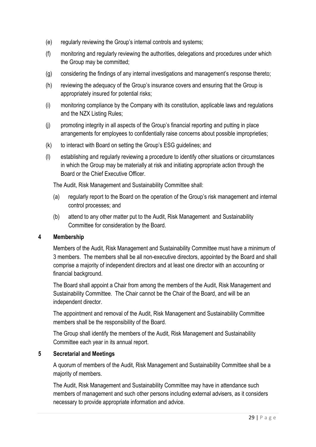- (e) regularly reviewing the Group's internal controls and systems;
- (f) monitoring and regularly reviewing the authorities, delegations and procedures under which the Group may be committed;
- (g) considering the findings of any internal investigations and management's response thereto;
- (h) reviewing the adequacy of the Group's insurance covers and ensuring that the Group is appropriately insured for potential risks;
- (i) monitoring compliance by the Company with its constitution, applicable laws and regulations and the NZX Listing Rules;
- (j) promoting integrity in all aspects of the Group's financial reporting and putting in place arrangements for employees to confidentially raise concerns about possible improprieties;
- (k) to interact with Board on setting the Group's ESG guidelines; and
- (l) establishing and regularly reviewing a procedure to identify other situations or circumstances in which the Group may be materially at risk and initiating appropriate action through the Board or the Chief Executive Officer.

The Audit, Risk Management and Sustainability Committee shall:

- (a) regularly report to the Board on the operation of the Group's risk management and internal control processes; and
- (b) attend to any other matter put to the Audit, Risk Management and Sustainability Committee for consideration by the Board.

#### **4 Membership**

Members of the Audit, Risk Management and Sustainability Committee must have a minimum of 3 members. The members shall be all non-executive directors, appointed by the Board and shall comprise a majority of independent directors and at least one director with an accounting or financial background.

The Board shall appoint a Chair from among the members of the Audit, Risk Management and Sustainability Committee. The Chair cannot be the Chair of the Board, and will be an independent director.

The appointment and removal of the Audit, Risk Management and Sustainability Committee members shall be the responsibility of the Board.

The Group shall identify the members of the Audit, Risk Management and Sustainability Committee each year in its annual report.

#### **5 Secretarial and Meetings**

A quorum of members of the Audit, Risk Management and Sustainability Committee shall be a majority of members.

The Audit, Risk Management and Sustainability Committee may have in attendance such members of management and such other persons including external advisers, as it considers necessary to provide appropriate information and advice.